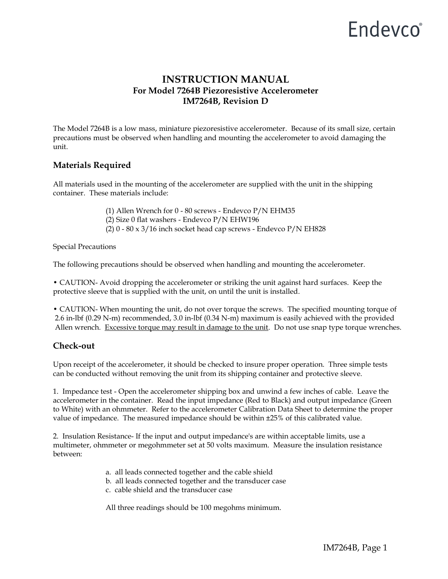## Endevco<sup>®</sup>

## **INSTRUCTION MANUAL For Model 7264B Piezoresistive Accelerometer IM7264B, Revision D**

The Model 7264B is a low mass, miniature piezoresistive accelerometer. Because of its small size, certain precautions must be observed when handling and mounting the accelerometer to avoid damaging the unit.

### **Materials Required**

All materials used in the mounting of the accelerometer are supplied with the unit in the shipping container. These materials include:

- (1) Allen Wrench for 0 80 screws Endevco P/N EHM35
- (2) Size 0 flat washers Endevco P/N EHW196
- (2) 0 80 x 3/16 inch socket head cap screws Endevco P/N EH828

Special Precautions

The following precautions should be observed when handling and mounting the accelerometer.

• CAUTION- Avoid dropping the accelerometer or striking the unit against hard surfaces. Keep the protective sleeve that is supplied with the unit, on until the unit is installed.

• CAUTION- When mounting the unit, do not over torque the screws. The specified mounting torque of 2.6 in-lbf (0.29 N-m) recommended, 3.0 in-lbf (0.34 N-m) maximum is easily achieved with the provided Allen wrench. Excessive torque may result in damage to the unit. Do not use snap type torque wrenches.

### **Check-out**

Upon receipt of the accelerometer, it should be checked to insure proper operation. Three simple tests can be conducted without removing the unit from its shipping container and protective sleeve.

1. Impedance test - Open the accelerometer shipping box and unwind a few inches of cable. Leave the accelerometer in the container. Read the input impedance (Red to Black) and output impedance (Green to White) with an ohmmeter. Refer to the accelerometer Calibration Data Sheet to determine the proper value of impedance. The measured impedance should be within ±25% of this calibrated value.

2. Insulation Resistance- If the input and output impedance's are within acceptable limits, use a multimeter, ohmmeter or megohmmeter set at 50 volts maximum. Measure the insulation resistance between:

- a. all leads connected together and the cable shield
- b. all leads connected together and the transducer case
- c. cable shield and the transducer case

All three readings should be 100 megohms minimum.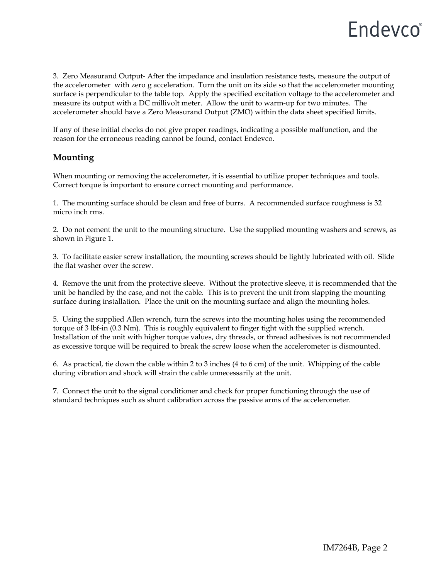## Endevco®

3. Zero Measurand Output- After the impedance and insulation resistance tests, measure the output of the accelerometer with zero g acceleration. Turn the unit on its side so that the accelerometer mounting surface is perpendicular to the table top. Apply the specified excitation voltage to the accelerometer and measure its output with a DC millivolt meter. Allow the unit to warm-up for two minutes. The accelerometer should have a Zero Measurand Output (ZMO) within the data sheet specified limits.

If any of these initial checks do not give proper readings, indicating a possible malfunction, and the reason for the erroneous reading cannot be found, contact Endevco.

### **Mounting**

When mounting or removing the accelerometer, it is essential to utilize proper techniques and tools. Correct torque is important to ensure correct mounting and performance.

1. The mounting surface should be clean and free of burrs. A recommended surface roughness is 32 micro inch rms.

2. Do not cement the unit to the mounting structure. Use the supplied mounting washers and screws, as shown in Figure 1.

3. To facilitate easier screw installation, the mounting screws should be lightly lubricated with oil. Slide the flat washer over the screw.

4. Remove the unit from the protective sleeve. Without the protective sleeve, it is recommended that the unit be handled by the case, and not the cable. This is to prevent the unit from slapping the mounting surface during installation. Place the unit on the mounting surface and align the mounting holes.

5. Using the supplied Allen wrench, turn the screws into the mounting holes using the recommended torque of 3 lbf-in (0.3 Nm). This is roughly equivalent to finger tight with the supplied wrench. Installation of the unit with higher torque values, dry threads, or thread adhesives is not recommended as excessive torque will be required to break the screw loose when the accelerometer is dismounted.

6. As practical, tie down the cable within 2 to 3 inches (4 to 6 cm) of the unit. Whipping of the cable during vibration and shock will strain the cable unnecessarily at the unit.

7. Connect the unit to the signal conditioner and check for proper functioning through the use of standard techniques such as shunt calibration across the passive arms of the accelerometer.